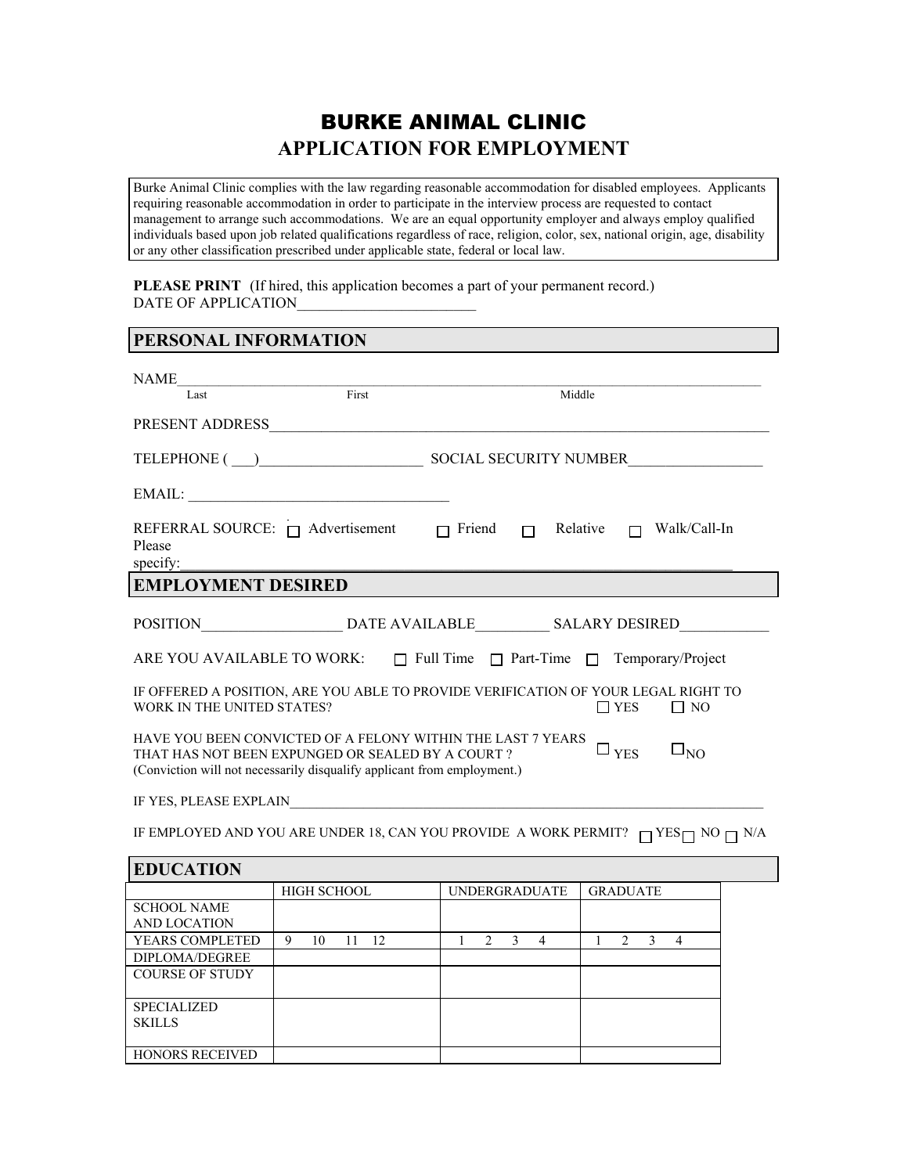## BURKE ANIMAL CLINIC **APPLICATION FOR EMPLOYMENT**

Burke Animal Clinic complies with the law regarding reasonable accommodation for disabled employees. Applicants requiring reasonable accommodation in order to participate in the interview process are requested to contact management to arrange such accommodations. We are an equal opportunity employer and always employ qualified individuals based upon job related qualifications regardless of race, religion, color, sex, national origin, age, disability or any other classification prescribed under applicable state, federal or local law.

**PLEASE PRINT** (If hired, this application becomes a part of your permanent record.) DATE OF APPLICATION

| PERSONAL INFORMATION                                                                                                                                                                                                                       |                         |  |  |  |  |
|--------------------------------------------------------------------------------------------------------------------------------------------------------------------------------------------------------------------------------------------|-------------------------|--|--|--|--|
| $\frac{\text{NAME}}{\text{Test}}$                                                                                                                                                                                                          | Middle                  |  |  |  |  |
|                                                                                                                                                                                                                                            |                         |  |  |  |  |
|                                                                                                                                                                                                                                            |                         |  |  |  |  |
| $EMAIL:$                                                                                                                                                                                                                                   |                         |  |  |  |  |
| REFERRAL SOURCE: $\Box$ Advertisement $\Box$ Friend $\Box$ Relative $\Box$ Walk/Call-In<br>Please<br>specify:                                                                                                                              |                         |  |  |  |  |
| <b>EMPLOYMENT DESIRED</b>                                                                                                                                                                                                                  |                         |  |  |  |  |
| POSITION DATE AVAILABLE SALARY DESIRED                                                                                                                                                                                                     |                         |  |  |  |  |
| ARE YOU AVAILABLE TO WORK: $\Box$ Full Time $\Box$ Part-Time $\Box$ Temporary/Project                                                                                                                                                      |                         |  |  |  |  |
| IF OFFERED A POSITION, ARE YOU ABLE TO PROVIDE VERIFICATION OF YOUR LEGAL RIGHT TO<br>WORK IN THE UNITED STATES?                                                                                                                           | $\Box$ YES<br>$\Box$ NO |  |  |  |  |
| HAVE YOU BEEN CONVICTED OF A FELONY WITHIN THE LAST 7 YEARS<br>$\square_{\;\rm{YES}}$<br>$\square_{\rm NO}$<br>THAT HAS NOT BEEN EXPUNGED OR SEALED BY A COURT?<br>(Conviction will not necessarily disqualify applicant from employment.) |                         |  |  |  |  |

IF YES, PLEASE EXPLAIN\_\_\_\_\_\_\_\_\_\_\_\_\_\_\_\_\_\_\_\_\_\_\_\_\_\_\_\_\_\_\_\_\_\_\_\_\_\_\_\_\_\_\_\_\_\_\_\_\_\_\_\_\_\_\_\_\_\_\_\_\_\_\_\_\_\_\_\_\_\_\_

IF EMPLOYED AND YOU ARE UNDER 18, CAN YOU PROVIDE A WORK PERMIT?  $\Box$  YES  $\Box$  NO  $\Box$  N/A

| <b>EDUCATION</b>                         |                    |    |                      |  |  |                 |   |   |  |               |   |                |  |
|------------------------------------------|--------------------|----|----------------------|--|--|-----------------|---|---|--|---------------|---|----------------|--|
|                                          | <b>HIGH SCHOOL</b> |    | <b>UNDERGRADUATE</b> |  |  | <b>GRADUATE</b> |   |   |  |               |   |                |  |
| <b>SCHOOL NAME</b><br>AND LOCATION       |                    |    |                      |  |  |                 |   |   |  |               |   |                |  |
| YEARS COMPLETED                          | 9<br>10            | 11 | 12                   |  |  | $\mathfrak{D}$  | 3 | 4 |  | $\mathcal{L}$ | 3 | $\overline{4}$ |  |
| DIPLOMA/DEGREE<br><b>COURSE OF STUDY</b> |                    |    |                      |  |  |                 |   |   |  |               |   |                |  |
|                                          |                    |    |                      |  |  |                 |   |   |  |               |   |                |  |
| <b>SPECIALIZED</b><br><b>SKILLS</b>      |                    |    |                      |  |  |                 |   |   |  |               |   |                |  |
| <b>HONORS RECEIVED</b>                   |                    |    |                      |  |  |                 |   |   |  |               |   |                |  |